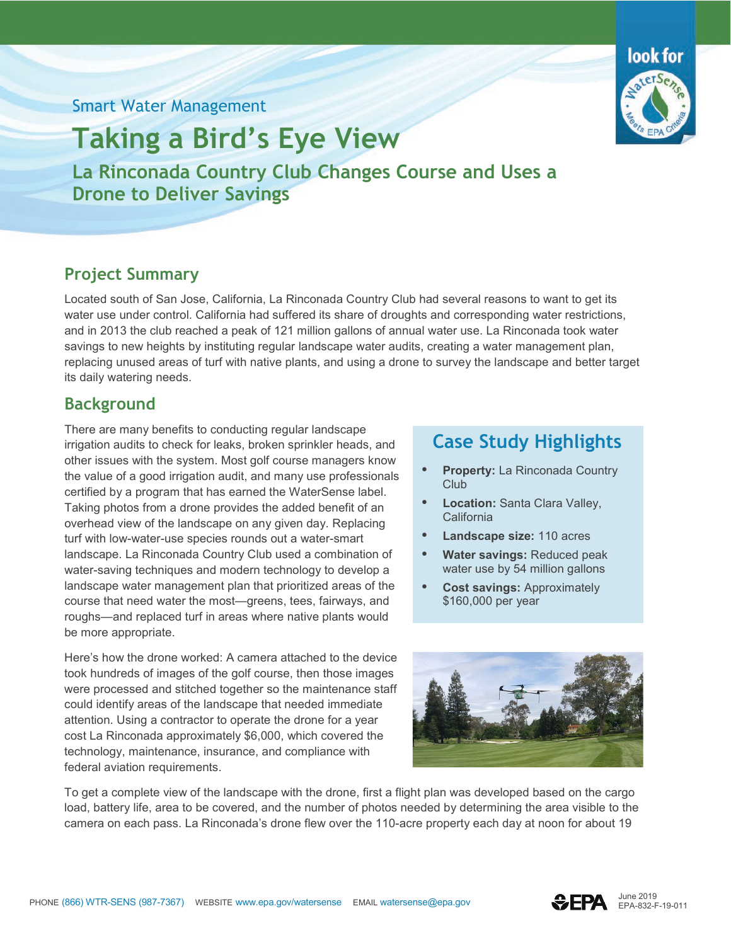### Smart Water Management



**La Rinconada Country Club Changes Course and Uses a Drone to Deliver Savings** 

# **Project Summary**

Located south of San Jose, California, La Rinconada Country Club had several reasons to want to get its water use under control. California had suffered its share of droughts and corresponding water restrictions, and in 2013 the club reached a peak of 121 million gallons of annual water use. La Rinconada took water savings to new heights by instituting regular landscape water audits, creating a water management plan, replacing unused areas of turf with native plants, and using a drone to survey the landscape and better target its daily watering needs.

## **Background**

There are many benefits to conducting regular landscape irrigation audits to check for leaks, broken sprinkler heads, and other issues with the system. Most golf course managers know the value of a good irrigation audit, and many use professionals certified by a program that has earned the WaterSense label. Taking photos from a drone provides the added benefit of an overhead view of the landscape on any given day. Replacing turf with low-water-use species rounds out a water-smart landscape. La Rinconada Country Club used a combination of water-saving techniques and modern technology to develop a landscape water management plan that prioritized areas of the course that need water the most—greens, tees, fairways, and roughs—and replaced turf in areas where native plants would be more appropriate.

Here's how the drone worked: A camera attached to the device took hundreds of images of the golf course, then those images were processed and stitched together so the maintenance staff could identify areas of the landscape that needed immediate attention. Using a contractor to operate the drone for a year cost La Rinconada approximately \$6,000, which covered the technology, maintenance, insurance, and compliance with federal aviation requirements.

# **Case Study Highlights**

- **Property:** La Rinconada Country **Club**
- **Location:** Santa Clara Valley, **California**
- **Landscape size:** 110 acres
- **Water savings:** Reduced peak water use by 54 million gallons
- **Cost savings:** Approximately \$160,000 per year



To get a complete view of the landscape with the drone, first a flight plan was developed based on the cargo load, battery life, area to be covered, and the number of photos needed by determining the area visible to the camera on each pass. La Rinconada's drone flew over the 110-acre property each day at noon for about 19





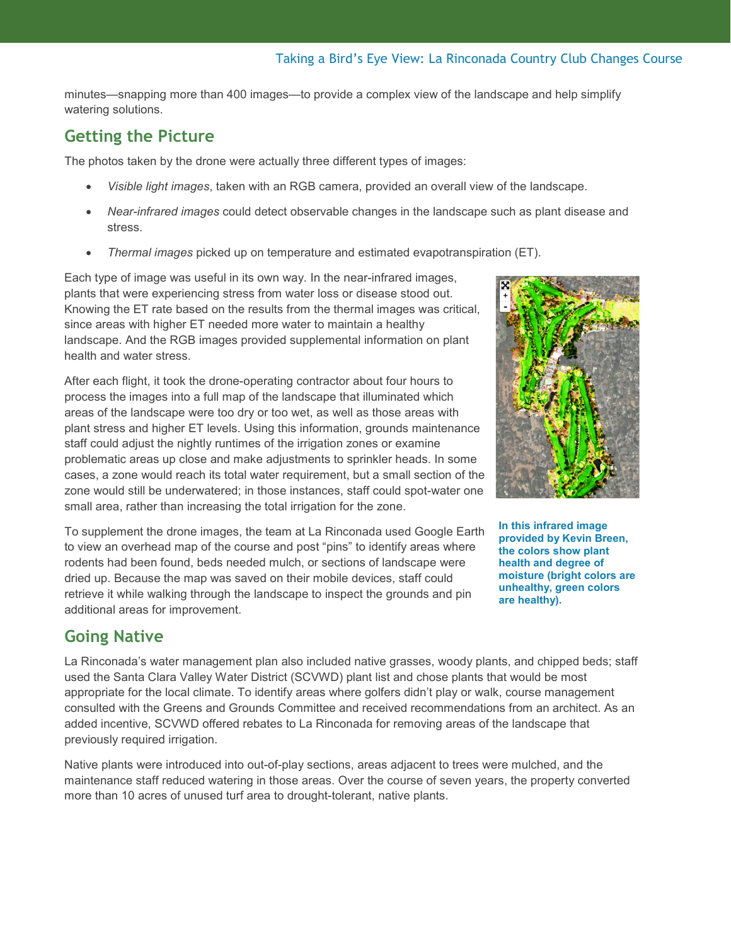minutes—snapping more than 400 images—to provide a complex view of the landscape and help simplify watering solutions.

## **Getting the Picture**

The photos taken by the drone were actually three different types of images:

- *Visible light images*, taken with an RGB camera, provided an overall view of the landscape.
- *Near-infrared images* could detect observable changes in the landscape such as plant disease and stress.
- *Thermal images* picked up on temperature and estimated evapotranspiration (ET).

Each type of image was useful in its own way. In the near-infrared images, plants that were experiencing stress from water loss or disease stood out. Knowing the ET rate based on the results from the thermal images was critical, since areas with higher ET needed more water to maintain a healthy landscape. And the RGB images provided supplemental information on plant health and water stress.

After each flight, it took the drone-operating contractor about four hours to process the images into a full map of the landscape that illuminated which areas of the landscape were too dry or too wet, as well as those areas with plant stress and higher ET levels. Using this information, grounds maintenance staff could adjust the nightly runtimes of the irrigation zones or examine problematic areas up close and make adjustments to sprinkler heads. In some cases, a zone would reach its total water requirement, but a small section of the zone would still be underwatered; in those instances, staff could spot-water one small area, rather than increasing the total irrigation for the zone.

To supplement the drone images, the team at La Rinconada used Google Earth to view an overhead map of the course and post "pins" to identify areas where rodents had been found, beds needed mulch, or sections of landscape were dried up. Because the map was saved on their mobile devices, staff could retrieve it while walking through the landscape to inspect the grounds and pin additional areas for improvement.



La Rinconada's water management plan also included native grasses, woody plants, and chipped beds; staff used the Santa Clara Valley Water District (SCVWD) plant list and chose plants that would be most appropriate for the local climate. To identify areas where golfers didn't play or walk, course management consulted with the Greens and Grounds Committee and received recommendations from an architect. As an added incentive, SCVWD offered rebates to La Rinconada for removing areas of the landscape that previously required irrigation.

Native plants were introduced into out-of-play sections, areas adjacent to trees were mulched, and the maintenance staff reduced watering in those areas. Over the course of seven years, the property converted more than 10 acres of unused turf area to drought-tolerant, native plants.



**In this infrared image provided by Kevin Breen, the colors show plant health and degree of moisture (bright colors are unhealthy, green colors are healthy).**